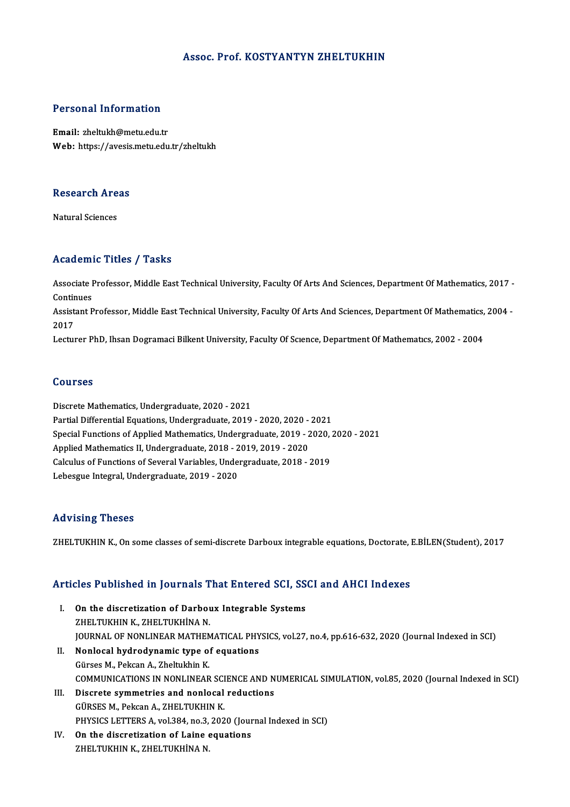#### Assoc. Prof. KOSTYANTYN ZHELTUKHIN

#### Personal Information

Email: zheltukh@metu.edu.tr Web: https://avesis.metu.edu.tr/zheltukh

### research<br>Research Areas <mark>Research Are</mark><br>Natural Sciences

### Natural Sciences<br>Academic Titles / Tasks

**Academic Titles / Tasks**<br>Associate Professor, Middle East Technical University, Faculty Of Arts And Sciences, Department Of Mathematics, 2017 -<br>Continues Associate I<br>Continues<br>Assistant B Associate Professor, Middle East Technical University, Faculty Of Arts And Sciences, Department Of Mathematics, 2017 -<br>Continues<br>Assistant Professor, Middle East Technical University, Faculty Of Arts And Sciences, Departme Continues<br>Assistant Professor, Middle East Technical University, Faculty Of Arts And Sciences, Department Of Mathematics, 2004 -<br>2017 Lecturer PhD, Ihsan Dogramaci Bilkent University, Faculty Of Science, Department Of Mathematics, 2002 - 2004

#### Courses

Discrete Mathematics, Undergraduate, 2020 - 2021 Partial Differential Equations, Undergraduate, 2019 - 2020, 2020 - 2021 Discrete Mathematics, Undergraduate, 2020 - 2021<br>Partial Differential Equations, Undergraduate, 2019 - 2020, 2020 - 2021<br>Special Functions of Applied Mathematics, Undergraduate, 2019 - 2020, 2020 - 2021<br>Applied Mathematics Partial Differential Equations, Undergraduate, 2019 - 2020, 2020 -<br>Special Functions of Applied Mathematics, Undergraduate, 2019 - 2<br>Applied Mathematics II, Undergraduate, 2018 - 2019, 2019 - 2020<br>Calgulus of Eunctions of Special Functions of Applied Mathematics, Undergraduate, 2019 - 2020,<br>Applied Mathematics II, Undergraduate, 2018 - 2019, 2019 - 2020<br>Calculus of Functions of Several Variables, Undergraduate, 2018 - 2019<br>Labasgue Integral Applied Mathematics II, Undergraduate, 2018 - 2019, 2019 - 2020<br>Calculus of Functions of Several Variables, Undergraduate, 2018 - 2019<br>Lebesgue Integral, Undergraduate, 2019 - 2020

#### Advising Theses

ZHELTUKHIN K., On some classes of semi-discrete Darboux integrable equations, Doctorate, E.BİLEN(Student), 2017

# ZHELTUKHIN K., On some classes or semi-discrete Darboux integrable equations, Doctorate, i<br>Articles Published in Journals That Entered SCI, SSCI and AHCI Indexes

- The Published in Journals That Entered SCI, SS<br>I. On the discretization of Darboux Integrable Systems<br>THE TUKUN K THE TUKUNA N I. On the discretization of Darboux Integrable Systems<br>ZHELTUKHIN K., ZHELTUKHİNA N. On the discretization of Darboux Integrable Systems<br>ZHELTUKHIN K., ZHELTUKHINA N.<br>JOURNAL OF NONLINEAR MATHEMATICAL PHYSICS, vol.27, no.4, pp.616-632, 2020 (Journal Indexed in SCI)<br>Nonlogal bydrodynamia type of cauntions ZHELTUKHIN K., ZHELTUKHINA N.<br>JOURNAL OF NONLINEAR MATHEMATICAL PHY<br>II. Nonlocal hydrodynamic type of equations<br>Cürses M. Beksan A. Zheltukhin K.
- JOURNAL OF NONLINEAR MATHEM<br>Nonlocal hydrodynamic type of<br>Gürses M., Pekcan A., Zheltukhin K.<br>COMMUNICATIONS IN NONLINEAR Nonlocal hydrodynamic type of equations<br>Gürses M., Pekcan A., Zheltukhin K.<br>COMMUNICATIONS IN NONLINEAR SCIENCE AND NUMERICAL SIMULATION, vol.85, 2020 (Journal Indexed in SCI)<br>Disanate eummetries and nonlocal nedustions Gürses M., Pekcan A., Zheltukhin K.<br>COMMUNICATIONS IN NONLINEAR SCIENCE AND N<br>III. Discrete symmetries and nonlocal reductions<br>GÜRSES M., Pekcan A., ZHELTUKHIN K.
- COMMUNICATIONS IN NONLINEAR SCI<br>Discrete symmetries and nonlocal<br>GÜRSES M., Pekcan A., ZHELTUKHIN K.<br>PHYSICS LETTERS A. vol 384, no. 3, 202 PHYSICS LETTERS A, vol.384, no.3, 2020 (Journal Indexed in SCI)
- IV. On the discretization of Laine equations ZHELTUKHINK, ZHELTUKHİNAN.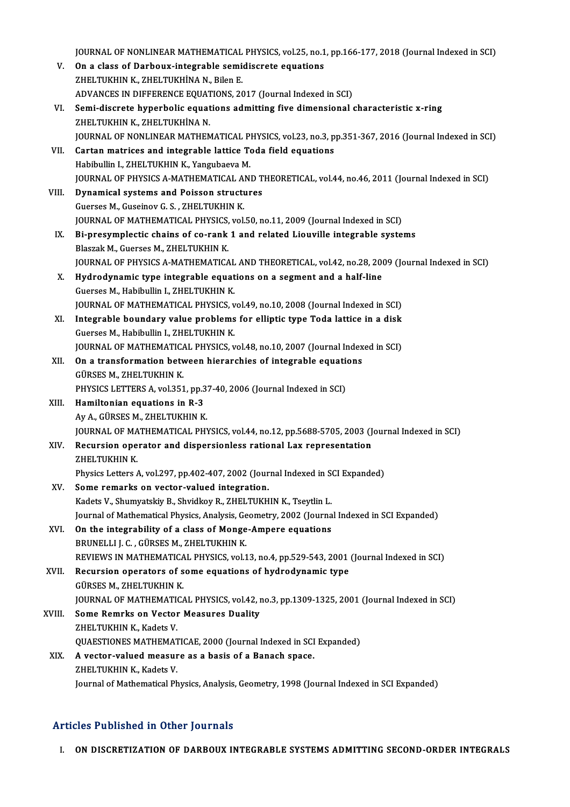JOURNAL OF NONLINEAR MATHEMATICAL PHYSICS, vol.25, no.1, pp.166-177, 2018 (Journal Indexed in SCI)<br>On a slass of Darbouy, integrable comidiagnete equations

|        | JOURNAL OF NONLINEAR MATHEMATICAL PHYSICS, vol.25, no.1, pp.166-177, 2018 (Journal Indexed in SCI)                                                             |
|--------|----------------------------------------------------------------------------------------------------------------------------------------------------------------|
| V.     | On a class of Darboux-integrable semidiscrete equations                                                                                                        |
|        | ZHELTUKHIN K., ZHELTUKHINA N., Bilen E.                                                                                                                        |
|        | ADVANCES IN DIFFERENCE EQUATIONS, 2017 (Journal Indexed in SCI)                                                                                                |
| VI.    | Semi-discrete hyperbolic equations admitting five dimensional characteristic x-ring                                                                            |
|        | ZHELTUKHIN K., ZHELTUKHİNA N.                                                                                                                                  |
|        | JOURNAL OF NONLINEAR MATHEMATICAL PHYSICS, vol.23, no.3, pp.351-367, 2016 (Journal Indexed in SCI)                                                             |
| VII.   | Cartan matrices and integrable lattice Toda field equations                                                                                                    |
|        | Habibullin I., ZHELTUKHIN K., Yangubaeva M.                                                                                                                    |
|        | JOURNAL OF PHYSICS A-MATHEMATICAL AND THEORETICAL, vol.44, no.46, 2011 (Journal Indexed in SCI)                                                                |
| VIII.  | Dynamical systems and Poisson structures                                                                                                                       |
|        | Guerses M., Guseinov G. S., ZHELTUKHIN K.                                                                                                                      |
| IX.    | JOURNAL OF MATHEMATICAL PHYSICS, vol.50, no.11, 2009 (Journal Indexed in SCI)<br>Bi-presymplectic chains of co-rank 1 and related Liouville integrable systems |
|        | Blaszak M., Guerses M., ZHELTUKHIN K.                                                                                                                          |
|        | JOURNAL OF PHYSICS A-MATHEMATICAL AND THEORETICAL, vol.42, no.28, 2009 (Journal Indexed in SCI)                                                                |
| Χ.     | Hydrodynamic type integrable equations on a segment and a half-line                                                                                            |
|        | Guerses M., Habibullin I., ZHELTUKHIN K.                                                                                                                       |
|        | JOURNAL OF MATHEMATICAL PHYSICS, vol.49, no.10, 2008 (Journal Indexed in SCI)                                                                                  |
| XI.    | Integrable boundary value problems for elliptic type Toda lattice in a disk                                                                                    |
|        | Guerses M., Habibullin I., ZHELTUKHIN K.                                                                                                                       |
|        | JOURNAL OF MATHEMATICAL PHYSICS, vol.48, no.10, 2007 (Journal Indexed in SCI)                                                                                  |
| XII.   | On a transformation between hierarchies of integrable equations                                                                                                |
|        | GÜRSES M., ZHELTUKHIN K.                                                                                                                                       |
|        | PHYSICS LETTERS A, vol.351, pp.37-40, 2006 (Journal Indexed in SCI)                                                                                            |
| XIII.  | Hamiltonian equations in R-3                                                                                                                                   |
|        | Ay A., GÜRSES M., ZHELTUKHIN K.                                                                                                                                |
|        | JOURNAL OF MATHEMATICAL PHYSICS, vol.44, no.12, pp.5688-5705, 2003 (Journal Indexed in SCI)                                                                    |
| XIV.   | Recursion operator and dispersionless rational Lax representation                                                                                              |
|        | ZHELTUKHIN K                                                                                                                                                   |
|        | Physics Letters A, vol.297, pp.402-407, 2002 (Journal Indexed in SCI Expanded)                                                                                 |
| XV.    | Some remarks on vector-valued integration.                                                                                                                     |
|        | Kadets V., Shumyatskiy B., Shvidkoy R., ZHELTUKHIN K., Tseytlin L.                                                                                             |
| XVI.   | Journal of Mathematical Physics, Analysis, Geometry, 2002 (Journal Indexed in SCI Expanded)<br>On the integrability of a class of Monge-Ampere equations       |
|        | BRUNELLI J. C., GÜRSES M., ZHELTUKHIN K.                                                                                                                       |
|        | REVIEWS IN MATHEMATICAL PHYSICS, vol.13, no.4, pp.529-543, 2001 (Journal Indexed in SCI)                                                                       |
| XVII.  | Recursion operators of some equations of hydrodynamic type                                                                                                     |
|        | GÜRSES M., ZHELTUKHIN K.                                                                                                                                       |
|        | JOURNAL OF MATHEMATICAL PHYSICS, vol.42, no.3, pp.1309-1325, 2001 (Journal Indexed in SCI)                                                                     |
| XVIII. | <b>Some Remrks on Vector Measures Duality</b>                                                                                                                  |
|        | ZHELTUKHIN K., Kadets V.                                                                                                                                       |
|        | QUAESTIONES MATHEMATICAE, 2000 (Journal Indexed in SCI Expanded)                                                                                               |
| XIX.   | A vector-valued measure as a basis of a Banach space.                                                                                                          |
|        | ZHELTUKHIN K., Kadets V.                                                                                                                                       |
|        | Journal of Mathematical Physics, Analysis, Geometry, 1998 (Journal Indexed in SCI Expanded)                                                                    |
|        |                                                                                                                                                                |

### Articles Published in Other Journals

I. ON DISCRETIZATION OF DARBOUX INTEGRABLE SYSTEMS ADMITTING SECOND-ORDER INTEGRALS